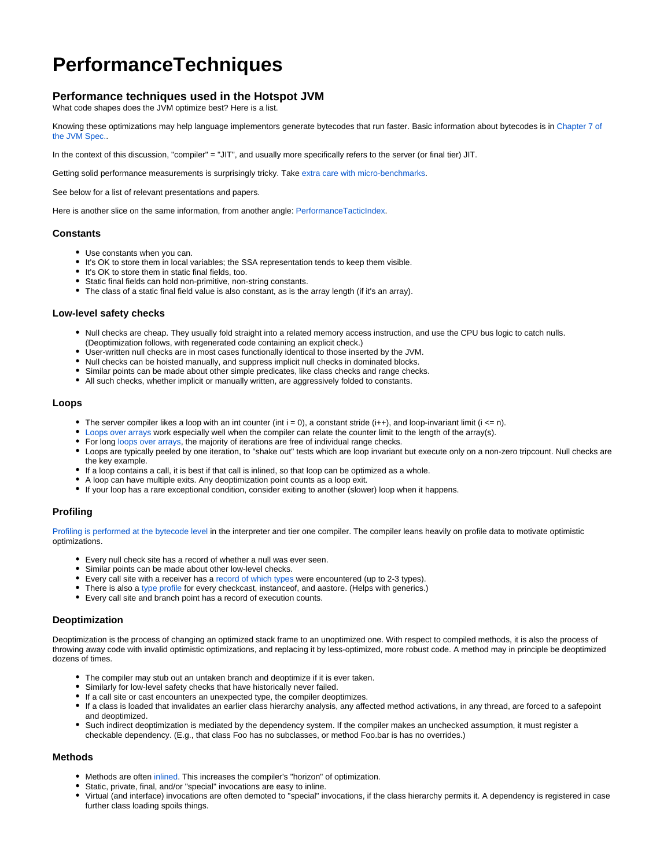# **PerformanceTechniques**

# **Performance techniques used in the Hotspot JVM**

What code shapes does the JVM optimize best? Here is a list.

Knowing these optimizations may help language implementors generate bytecodes that run faster. Basic information about bytecodes is in [Chapter 7 of](http://java.sun.com/docs/books/jvms/second_edition/html/Compiling.doc.html)  [the JVM Spec..](http://java.sun.com/docs/books/jvms/second_edition/html/Compiling.doc.html)

In the context of this discussion, "compiler" = "JIT", and usually more specifically refers to the server (or final tier) JIT.

Getting solid performance measurements is surprisingly tricky. Take [extra care with micro-benchmarks](https://wiki.openjdk.org/display/HotSpot/MicroBenchmarks).

See below for a list of relevant presentations and papers.

Here is another slice on the same information, from another angle: [PerformanceTacticIndex](https://wiki.openjdk.org/display/HotSpot/PerformanceTacticIndex).

#### **Constants**

- Use constants when you can.
- It's OK to store them in local variables; the SSA representation tends to keep them visible.
- It's OK to store them in static final fields, too.
- Static final fields can hold non-primitive, non-string constants.
- The class of a static final field value is also constant, as is the array length (if it's an array).

#### **Low-level safety checks**

- Null checks are cheap. They usually fold straight into a related memory access instruction, and use the CPU bus logic to catch nulls. (Deoptimization follows, with regenerated code containing an explicit check.)
- User-written null checks are in most cases functionally identical to those inserted by the JVM.
- Null checks can be hoisted manually, and suppress implicit null checks in dominated blocks.
- Similar points can be made about other simple predicates, like class checks and range checks.
- All such checks, whether implicit or manually written, are aggressively folded to constants.

#### **Loops**

- The server compiler likes a loop with an int counter (int  $i = 0$ ), a constant stride ( $i++$ ), and loop-invariant limit ( $i < = n$ ).
- [Loops over arrays](https://wiki.openjdk.org/display/HotSpot/RangeCheckElimination) work especially well when the compiler can relate the counter limit to the length of the array(s).
- For long [loops over arrays](https://wiki.openjdk.org/display/HotSpot/RangeCheckElimination), the majority of iterations are free of individual range checks.
- Loops are typically peeled by one iteration, to "shake out" tests which are loop invariant but execute only on a non-zero tripcount. Null checks are the key example.
- If a loop contains a call, it is best if that call is inlined, so that loop can be optimized as a whole.
- A loop can have multiple exits. Any deoptimization point counts as a loop exit.
- If your loop has a rare exceptional condition, consider exiting to another (slower) loop when it happens.

### **Profiling**

[Profiling is performed at the bytecode level](https://wiki.openjdk.org/display/HotSpot/MethodData) in the interpreter and tier one compiler. The compiler leans heavily on profile data to motivate optimistic optimizations.

- Every null check site has a record of whether a null was ever seen.
- Similar points can be made about other low-level checks.
- Every call site with a receiver has a [record of which types](https://wiki.openjdk.org/display/HotSpot/TypeProfile) were encountered (up to 2-3 types).
- There is also a [type profile](https://wiki.openjdk.org/display/HotSpot/TypeProfile) for every checkcast, instanceof, and aastore. (Helps with generics.)
- Every call site and branch point has a record of execution counts.

#### **Deoptimization**

Deoptimization is the process of changing an optimized stack frame to an unoptimized one. With respect to compiled methods, it is also the process of throwing away code with invalid optimistic optimizations, and replacing it by less-optimized, more robust code. A method may in principle be deoptimized dozens of times.

- The compiler may stub out an untaken branch and deoptimize if it is ever taken.
- Similarly for low-level safety checks that have historically never failed.
- If a call site or cast encounters an unexpected type, the compiler deoptimizes.
- If a class is loaded that invalidates an earlier class hierarchy analysis, any affected method activations, in any thread, are forced to a safepoint and deoptimized.
- Such indirect deoptimization is mediated by the dependency system. If the compiler makes an unchecked assumption, it must register a checkable dependency. (E.g., that class Foo has no subclasses, or method Foo.bar is has no overrides.)

#### **Methods**

- Methods are often [inlined](https://wiki.openjdk.org/display/HotSpot/Inlining). This increases the compiler's "horizon" of optimization.
- Static, private, final, and/or "special" invocations are easy to inline.
- Virtual (and interface) invocations are often demoted to "special" invocations, if the class hierarchy permits it. A dependency is registered in case further class loading spoils things.